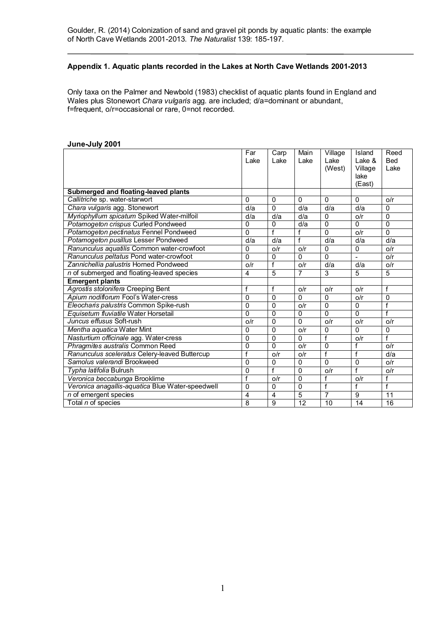## **Appendix 1. Aquatic plants recorded in the Lakes at North Cave Wetlands 2001-2013**

Only taxa on the Palmer and Newbold (1983) checklist of aquatic plants found in England and Wales plus Stonewort *Chara vulgaris* agg. are included; d/a=dominant or abundant, f=frequent, o/r=occasional or rare, 0=not recorded.

|                                                  | Far            | Carp           | Main            | Village        | Island          | Reed           |
|--------------------------------------------------|----------------|----------------|-----------------|----------------|-----------------|----------------|
|                                                  | Lake           | Lake           | Lake            | Lake           | Lake &          | <b>Bed</b>     |
|                                                  |                |                |                 | (West)         | Village         | Lake           |
|                                                  |                |                |                 |                | lake            |                |
|                                                  |                |                |                 |                | (East)          |                |
| Submerged and floating-leaved plants             |                |                |                 |                |                 |                |
| Callitriche sp. water-starwort                   | $\Omega$       | $\Omega$       | $\Omega$        | $\Omega$       | $\Omega$        | o/r            |
| Chara vulgaris agg. Stonewort                    | d/a            | $\Omega$       | d/a             | d/a            | d/a             | $\Omega$       |
| Myriophyllum spicatum Spiked Water-milfoil       | d/a            | d/a            | d/a             | $\Omega$       | o/r             | $\mathbf{0}$   |
| Potamogeton crispus Curled Pondweed              | 0              | $\overline{0}$ | d/a             | $\overline{0}$ | $\Omega$        | $\overline{0}$ |
| Potamogeton pectinatus Fennel Pondweed           | 0              | f              | f               | $\Omega$       | O/r             | $\Omega$       |
| Potamogeton pusillus Lesser Pondweed             | d/a            | d/a            | f               | d/a            | d/a             | d/a            |
| Ranunculus aquatilis Common water-crowfoot       | 0              | O/r            | o/r             | $\Omega$       | $\Omega$        | O/r            |
| Ranunculus peltatus Pond water-crowfoot          | 0              | $\mathbf{0}$   | $\Omega$        | $\Omega$       |                 | O/r            |
| Zannichellia palustris Horned Pondweed           | o/r            | f              | o/r             | d/a            | d/a             | o/r            |
| n of submerged and floating-leaved species       | $\overline{4}$ | $\overline{5}$ | $\overline{7}$  | 3              | 5               | 5              |
| <b>Emergent plants</b>                           |                |                |                 |                |                 |                |
| Agrostis stolonifera Creeping Bent               | f              | f              | 0/r             | o/r            | O/r             | f              |
| Apium nodiflorum Fool's Water-cress              | $\Omega$       | $\Omega$       | $\Omega$        | $\Omega$       | O/r             | $\Omega$       |
| Eleocharis palustris Common Spike-rush           | 0              | $\Omega$       | o/r             | $\mathbf{0}$   | $\Omega$        | f              |
| Equisetum fluviatile Water Horsetail             | 0              | $\mathbf{0}$   | $\Omega$        | $\Omega$       | $\Omega$        | f              |
| Juncus effusus Soft-rush                         | o/r            | $\mathbf{0}$   | $\Omega$        | o/r            | O/r             | o/r            |
| Mentha aquatica Water Mint                       | 0              | $\Omega$       | o/r             | $\Omega$       | $\Omega$        | $\mathbf 0$    |
| Nasturtium officinale agg. Water-cress           | 0              | $\mathbf{0}$   | $\Omega$        | f              | o/r             | f              |
| Phragmites australis Common Reed                 | 0              | $\Omega$       | o/r             | $\mathbf{0}$   |                 | o/r            |
| Ranunculus sceleratus Celery-leaved Buttercup    | f              | o/r            | o/r             | f              | f               | d/a            |
| Samolus valerandi Brookweed                      | $\mathbf{0}$   | $\mathbf{0}$   | $\Omega$        | $\mathbf{0}$   | 0               | O/r            |
| Typha latifolia Bulrush                          | $\Omega$       | f              | $\Omega$        | o/r            | f               | o/r            |
| Veronica beccabunga Brooklime                    | f              | o/r            | $\mathbf{0}$    | f              | o/r             | f              |
| Veronica anagallis-aquatica Blue Water-speedwell | $\mathbf{0}$   | $\Omega$       | $\Omega$        | $\overline{f}$ |                 | $\overline{f}$ |
| n of emergent species                            | 4              | 4              | 5               | 7              | 9               | 11             |
| Total n of species                               | 8              | $\overline{9}$ | $\overline{12}$ | 10             | $\overline{14}$ | 16             |

## **June-July 2001**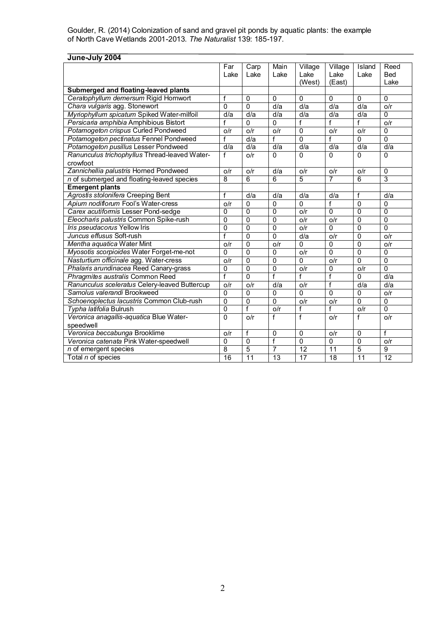| June-July 2004                                |                |                |                 |                 |                  |                |                |
|-----------------------------------------------|----------------|----------------|-----------------|-----------------|------------------|----------------|----------------|
|                                               | Far            | Carp           | Main            | Village         | Village          | Island         | Reed           |
|                                               | Lake           | Lake           | Lake            | Lake            | Lake             | Lake           | Bed            |
|                                               |                |                |                 | (West)          | (East)           |                | Lake           |
| Submerged and floating-leaved plants          |                |                |                 |                 |                  |                |                |
| Ceratophyllum demersum Rigid Hornwort         | f              | $\Omega$       | $\mathbf 0$     | $\overline{0}$  | $\Omega$         | $\mathbf{0}$   | $\Omega$       |
| Chara vulgaris agg. Stonewort                 | $\Omega$       | $\overline{0}$ | d/a             | d/a             | $\overline{d/a}$ | d/a            | O/r            |
| Myriophyllum spicatum Spiked Water-milfoil    | d/a            | d/a            | d/a             | d/a             | d/a              | d/a            | $\Omega$       |
| Persicaria amphibia Amphibious Bistort        | f              | $\Omega$       | $\Omega$        | f               | f                | f              | o/r            |
| Potamogeton crispus Curled Pondweed           | o/r            | o/r            | o/r             | $\overline{0}$  | o/r              | o/r            | $\Omega$       |
| Potamogeton pectinatus Fennel Pondweed        | f              | d/a            | f               | 0               | f                | $\mathbf{0}$   | $\mathbf 0$    |
| Potamogeton pusillus Lesser Pondweed          | d/a            | d/a            | d/a             | d/a             | d/a              | d/a            | d/a            |
| Ranunculus trichophyllus Thread-leaved Water- | f              | o/r            | $\Omega$        | 0               | $\Omega$         | $\Omega$       | $\Omega$       |
| crowfoot                                      |                |                |                 |                 |                  |                |                |
| Zannichellia palustris Horned Pondweed        | O/r            | o/r            | d/a             | o/r             | o/r              | O/r            | $\mathbf 0$    |
| n of submerged and floating-leaved species    | $\overline{8}$ | $\overline{6}$ | 6               | 5               | $\overline{7}$   | 6              | $\overline{3}$ |
| <b>Emergent plants</b>                        |                |                |                 |                 |                  |                |                |
| Agrostis stolonifera Creeping Bent            | f              | d/a            | d/a             | d/a             | d/a              | $\overline{f}$ | d/a            |
| Apium nodiflorum Fool's Water-cress           | o/r            | $\mathbf 0$    | $\mathbf 0$     | 0               | f                | $\mathbf{0}$   | $\mathbf 0$    |
| Carex acutiformis Lesser Pond-sedge           | $\mathbf{0}$   | $\Omega$       | $\mathbf 0$     | o/r             | $\Omega$         | $\Omega$       | $\mathbf 0$    |
| Eleocharis palustris Common Spike-rush        | $\overline{0}$ | $\overline{0}$ | $\overline{0}$  | o/r             | o/r              | $\overline{0}$ | $\overline{0}$ |
| Iris pseudacorus Yellow Iris                  | $\overline{0}$ | $\Omega$       | $\overline{0}$  | o/r             | $\overline{0}$   | $\overline{0}$ | $\overline{0}$ |
| Juncus effusus Soft-rush                      | $\overline{f}$ | $\Omega$       | $\overline{0}$  | d/a             | o/r              | $\mathbf 0$    | o/r            |
| Mentha aquatica Water Mint                    | o/r            | 0              | o/r             | 0               | $\Omega$         | $\mathbf 0$    | o/r            |
| Myosotis scorpioides Water Forget-me-not      | $\Omega$       | $\overline{0}$ | $\Omega$        | o/r             | $\overline{0}$   | $\overline{0}$ | $\overline{0}$ |
| Nasturtium officinale agg. Water-cress        | o/r            | $\Omega$       | $\overline{0}$  | $\overline{0}$  | o/r              | $\mathbf 0$    | $\overline{0}$ |
| Phalaris arundinacea Reed Canary-grass        | $\overline{0}$ | $\overline{0}$ | $\overline{0}$  | o/r             | $\mathbf{0}$     | o/r            | $\overline{0}$ |
| Phragmites australis Common Reed              | f              | $\Omega$       | f               | $\overline{f}$  | $\overline{f}$   | $\Omega$       | d/a            |
| Ranunculus sceleratus Celery-leaved Buttercup | o/r            | o/r            | d/a             | o/r             | f                | d/a            | d/a            |
| Samolus valerandi Brookweed                   | $\Omega$       | $\Omega$       | $\mathbf 0$     | 0               | $\Omega$         | $\Omega$       | O/r            |
| Schoenoplectus lacustris Common Club-rush     | $\overline{0}$ | 0              | 0               | o/r             | o/r              | $\mathbf{0}$   | $\overline{0}$ |
| Typha latifolia Bulrush                       | $\mathbf 0$    | $\overline{f}$ | o/r             | f               | f                | o/r            | 0              |
| Veronica anagallis-aquatica Blue Water-       | $\overline{0}$ | o/r            | f               | f               | o/r              | f              | O/r            |
| speedwell                                     |                |                |                 |                 |                  |                |                |
| Veronica beccabunga Brooklime                 | o/r            | f              | $\Omega$        | $\Omega$        | o/r              | $\Omega$       | f              |
| Veronica catenata Pink Water-speedwell        | $\mathbf{0}$   | $\Omega$       | f               | $\overline{0}$  | $\mathbf 0$      | $\mathbf 0$    | o/r            |
| n of emergent species                         | $\overline{8}$ | $\overline{5}$ | 7               | $\overline{12}$ | 11               | 5              | 9              |
| Total n of species                            | 16             | 11             | $\overline{13}$ | 17              | 18               | 11             | 12             |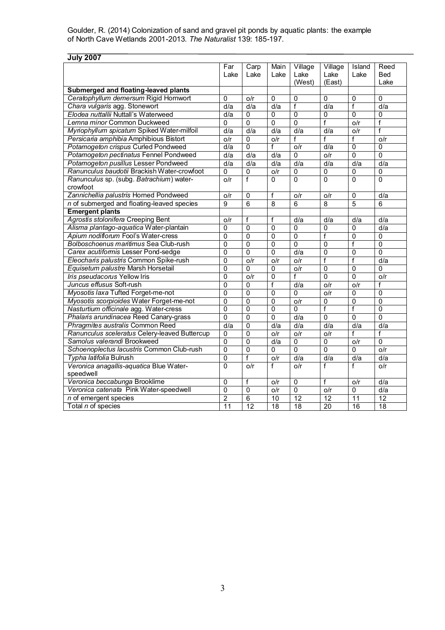| <b>July 2007</b>                              |                |                 |                |                 |                 |                |                 |
|-----------------------------------------------|----------------|-----------------|----------------|-----------------|-----------------|----------------|-----------------|
|                                               | Far            | Carp            | Main           | Village         | Village         | Island         | Reed            |
|                                               | Lake           | Lake            | Lake           | Lake            | Lake            | Lake           | Bed             |
|                                               |                |                 |                | (West)          | (East)          |                | Lake            |
| Submerged and floating-leaved plants          |                |                 |                |                 |                 |                |                 |
| Ceratophyllum demersum Rigid Hornwort         | 0              | o/r             | $\Omega$       | $\Omega$        | 0               | $\mathbf{0}$   | $\Omega$        |
| Chara vulgaris agg. Stonewort                 | d/a            | d/a             | d/a            | $\overline{f}$  | d/a             | $\overline{f}$ | d/a             |
| Elodea nuttallii Nuttall's Waterweed          | d/a            | $\mathbf 0$     | 0              | $\mathbf 0$     | 0               | $\mathbf{0}$   | 0               |
| Lemna minor Common Duckweed                   | $\mathbf 0$    | $\overline{0}$  | $\overline{0}$ | $\mathbf 0$     | $\overline{f}$  | o/r            | $\overline{f}$  |
| Myriophyllum spicatum Spiked Water-milfoil    | d/a            | d/a             | d/a            | d/a             | d/a             | o/r            | $\overline{f}$  |
| Persicaria amphibia Amphibious Bistort        | o/r            | 0               | o/r            | f               | f               | f              | o/r             |
| Potamogeton crispus Curled Pondweed           | d/a            | $\mathbf{0}$    | f              | o/r             | d/a             | $\overline{0}$ | 0               |
| Potamogeton pectinatus Fennel Pondweed        | d/a            | d/a             | d/a            | $\Omega$        | o/r             | $\overline{0}$ | $\overline{0}$  |
| Potamogeton pusillus Lesser Pondweed          | d/a            | d/a             | d/a            | d/a             | d/a             | d/a            | d/a             |
| Ranunculus baudotii Brackish Water-crowfoot   | 0              | $\overline{0}$  | o/r            | 0               | $\overline{0}$  | 0              | 0               |
| Ranunculus sp. (subg. Batrachium) water-      | o/r            | $\overline{f}$  | $\Omega$       | $\overline{0}$  | $\overline{0}$  | $\overline{0}$ | $\Omega$        |
| crowfoot                                      |                |                 |                |                 |                 |                |                 |
| Zannichellia palustris Horned Pondweed        | O/r            | $\Omega$        | f              | o/r             | o/r             | $\overline{0}$ | d/a             |
| n of submerged and floating-leaved species    | 9              | 6               | 8              | 6               | 8               | $\overline{5}$ | 6               |
| <b>Emergent plants</b>                        |                |                 |                |                 |                 |                |                 |
| Agrostis stolonifera Creeping Bent            | o/r            | f               | f              | d/a             | d/a             | d/a            | d/a             |
| Alisma plantago-aquatica Water-plantain       | 0              | $\mathbf{0}$    | $\mathbf{0}$   | 0               | 0               | $\mathbf{0}$   | d/a             |
| Apium nodiflorum Fool's Water-cress           | $\overline{0}$ | $\mathbf{0}$    | $\overline{0}$ | $\overline{0}$  | $\overline{f}$  | $\overline{0}$ | $\overline{0}$  |
| Bolboschoenus maritimus Sea Club-rush         | 0              | $\mathbf 0$     | 0              | $\Omega$        | 0               | $\overline{f}$ | $\overline{0}$  |
| Carex acutiformis Lesser Pond-sedge           | $\overline{0}$ | $\overline{0}$  | $\overline{0}$ | d/a             | $\overline{0}$  | $\overline{0}$ | $\overline{0}$  |
| Eleocharis palustris Common Spike-rush        | $\overline{0}$ | o/r             | o/r            | o/r             | $\overline{f}$  | $\overline{f}$ | d/a             |
| Equisetum palustre Marsh Horsetail            | $\Omega$       | 0               | 0              | o/r             | $\mathbf{0}$    | $\mathbf 0$    | 0               |
| Iris pseudacorus Yellow Iris                  | $\mathbf 0$    | O/r             | $\overline{0}$ | f               | $\overline{0}$  | $\overline{0}$ | o/r             |
| Juncus effusus Soft-rush                      | $\overline{0}$ | $\Omega$        | f              | d/a             | o/r             | o/r            | $\mathsf{f}$    |
| Myosotis laxa Tufted Forget-me-not            | $\mathbf 0$    | $\mathbf{0}$    | $\Omega$       | $\Omega$        | o/r             | 0              | 0               |
| Myosotis scorpioides Water Forget-me-not      | $\mathbf 0$    | $\Omega$        | $\mathbf 0$    | o/r             | 0               | $\mathbf 0$    | $\Omega$        |
| Nasturtium officinale agg. Water-cress        | $\mathbf 0$    | $\mathbf 0$     | $\mathbf 0$    | $\Omega$        | f               | f              | $\mathbf 0$     |
| Phalaris arundinacea Reed Canary-grass        | 0              | $\Omega$        | $\Omega$       | d/a             | 0               | $\mathbf{0}$   | 0               |
| Phragmites australis Common Reed              | d/a            | $\mathbf 0$     | d/a            | d/a             | d/a             | d/a            | d/a             |
| Ranunculus sceleratus Celery-leaved Buttercup | $\mathbf{0}$   | $\Omega$        | o/r            | o/r             | o/r             | f              | $\mathsf{f}$    |
| Samolus valerandi Brookweed                   | $\overline{0}$ | $\overline{0}$  | d/a            | $\Omega$        | $\overline{0}$  | o/r            | $\overline{0}$  |
| Schoenoplectus lacustris Common Club-rush     | $\overline{0}$ | $\overline{0}$  | $\Omega$       | $\mathbf{0}$    | $\overline{0}$  | $\overline{0}$ | o/r             |
| Typha latifolia Bulrush                       | $\overline{0}$ | f               | o/r            | d/a             | d/a             | d/a            | d/a             |
| Veronica anagallis-aquatica Blue Water-       | $\overline{0}$ | o/r             | $\overline{f}$ | o/r             | $\overline{f}$  | $\overline{f}$ | o/r             |
| speedwell                                     |                |                 |                |                 |                 |                |                 |
| Veronica beccabunga Brooklime                 | $\mathbf 0$    | f               | o/r            | $\overline{0}$  | $\overline{f}$  | o/r            | d/a             |
| Veronica catenata Pink Water-speedwell        | $\overline{0}$ | $\mathbf{0}$    | o/r            | $\overline{0}$  | o/r             | 0              | d/a             |
| n of emergent species                         | $\overline{c}$ | $\overline{6}$  | 10             | 12              | 12              | 11             | 12              |
| Total n of species                            | 11             | $\overline{12}$ | 18             | $\overline{18}$ | $\overline{20}$ | 16             | $\overline{18}$ |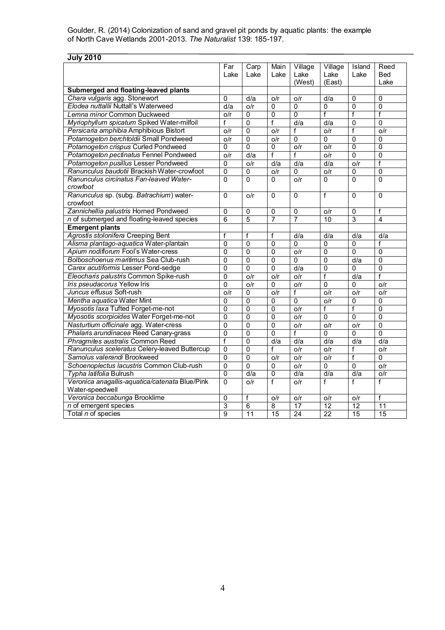| <b>July 2010</b>                               |                  |                 |                 |                           |                  |                |                |
|------------------------------------------------|------------------|-----------------|-----------------|---------------------------|------------------|----------------|----------------|
|                                                | $\overline{Far}$ | Carp            | Main            | Village                   | Village          | Island         | Reed           |
|                                                | Lake             | Lake            | Lake            | Lake                      | Lake             | Lake           | Bed            |
|                                                |                  |                 |                 | (West)                    | (East)           |                | Lake           |
| Submerged and floating-leaved plants           |                  |                 |                 |                           |                  |                |                |
| Chara vulgaris agg. Stonewort                  | $\Omega$         | d/a             | o/r             | o/r                       | d/a              | 0              | 0              |
| Elodea nuttallii Nuttall's Waterweed           | d/a              | o/r             | 0               | 0                         | 0                | $\overline{0}$ | 0              |
| Lemna minor Common Duckweed                    | o/r              | $\mathbf{0}$    | $\overline{0}$  | $\overline{0}$            | $\overline{f}$   | $\overline{f}$ | $\overline{f}$ |
| Myriophyllum spicatum Spiked Water-milfoil     | f                | $\Omega$        | f               | d/a                       | $\overline{d}/a$ | $\mathbf 0$    | $\overline{0}$ |
| Persicaria amphibia Amphibious Bistort         | o/r              | $\mathbf{0}$    | o/r             | f                         | o/r              | f              | o/r            |
| Potamogeton berchtoldii Small Pondweed         | o/r              | $\overline{0}$  | o/r             | 0                         | 0                | $\overline{0}$ | 0              |
| Potamogeton crispus Curled Pondweed            | $\overline{0}$   | $\Omega$        | $\Omega$        | o/r                       | O/r              | $\overline{0}$ | $\overline{0}$ |
| Potamogeton pectinatus Fennel Pondweed         | o/r              | d/a             | f               | f                         | o/r              | 0              | $\mathbf 0$    |
| Potamogeton pusillus Lesser Pondweed           | 0                | o/r             | d/a             | d/a                       | d/a              | o/r            | $\overline{f}$ |
| Ranunculus baudotii Brackish Water-crowfoot    | $\overline{0}$   | $\overline{0}$  | o/r             | 0                         | o/r              | $\overline{0}$ | $\overline{0}$ |
| Ranunculus circinatus Fan-leaved Water-        | $\Omega$         | $\Omega$        | 0               | o/r                       | 0                | 0              | $\Omega$       |
| crowfoot                                       |                  |                 |                 |                           |                  |                |                |
| Ranunculus sp. (subg. Batrachium) water-       | $\overline{0}$   | o/r             | 0               | 0                         | Ŧ                | $\overline{0}$ | $\Omega$       |
| crowfoot                                       |                  |                 |                 |                           |                  |                |                |
| Zannichellia palustris Horned Pondweed         | $\mathbf 0$      | $\mathbf{0}$    | $\overline{0}$  | $\overline{0}$            | o/r              | 0              | f              |
| n of submerged and floating-leaved species     | $\overline{6}$   | $\overline{5}$  | $\overline{7}$  | $\overline{7}$            | 10               | $\overline{3}$ | $\overline{4}$ |
| <b>Emergent plants</b>                         |                  |                 |                 |                           |                  |                |                |
| Agrostis stolonifera Creeping Bent             | f                | f               | f               | d/a                       | d/a              | d/a            | d/a            |
| Alisma plantago-aquatica Water-plantain        | 0                | $\overline{0}$  | $\mathbf{0}$    | 0                         | $\Omega$         | 0              | f              |
| Apium nodiflorum Fool's Water-cress            | 0                | $\overline{0}$  | $\overline{0}$  | o/r                       | $\overline{0}$   | $\overline{0}$ | $\mathbf{0}$   |
| Bolboschoenus maritimus Sea Club-rush          | $\overline{0}$   | $\overline{0}$  | $\overline{0}$  | 0                         | $\overline{0}$   | d/a            | $\overline{0}$ |
| Carex acutiformis Lesser Pond-sedge            | $\mathbf{0}$     | $\Omega$        | $\mathbf 0$     | d/a                       | $\mathbf 0$      | 0              | 0              |
| Eleocharis palustris Common Spike-rush         | $\overline{0}$   | o/r             | o/r             | o/r                       | f                | d/a            | Ŧ              |
| Iris pseudacorus Yellow Iris                   | $\overline{0}$   | o/r             | $\Omega$        | o/r                       | $\overline{0}$   | $\mathbf 0$    | o/r            |
| Juncus effusus Soft-rush                       | o/r              | $\mathbf{0}$    | O/r             | f                         | O/r              | O/r            | o/r            |
| Mentha aquatica Water Mint                     | 0                | $\overline{0}$  | $\overline{0}$  | $\overline{0}$            | o/r              | $\overline{0}$ | 0              |
| Myosotis laxa Tufted Forget-me-not             | $\overline{0}$   | $\overline{0}$  | $\overline{0}$  | $\overline{\mathsf{O/r}}$ | $\overline{f}$   | $\overline{f}$ | $\overline{0}$ |
| Myosotis scorpioides Water Forget-me-not       | 0                | $\Omega$        | 0               | o/r                       | $\mathbf 0$      | $\overline{0}$ | $\overline{0}$ |
| Nasturtium officinale agg. Water-cress         | 0                | $\overline{0}$  | $\overline{0}$  | o/r                       | o/r              | o/r            | $\mathbf 0$    |
| Phalaris arundinacea Reed Canary-grass         | $\overline{0}$   | $\Omega$        | $\Omega$        | f                         | $\mathbf 0$      | $\mathbf 0$    | $\Omega$       |
| Phragmites australis Common Reed               | f                | $\overline{0}$  | d/a             | d/a                       | d/a              | d/a            | d/a            |
| Ranunculus sceleratus Celery-leaved Buttercup  | 0                | $\overline{0}$  | f               | o/r                       | o/r              | f              | o/r            |
| Samolus valerandi Brookweed                    | $\mathbf 0$      | $\Omega$        | o/r             | o/r                       | o/r              | $\overline{f}$ | $\Omega$       |
| Schoenoplectus lacustris Common Club-rush      | 0                | $\overline{0}$  | 0               | o/r                       | $\mathbf 0$      | $\overline{0}$ | o/r            |
| Typha latifolia Bulrush                        | $\overline{0}$   | d/a             | $\overline{0}$  | d/a                       | d/a              | d/a            | o/r            |
| Veronica anagallis-aquatica/catenata Blue/Pink | $\overline{0}$   | o/r             | f               | o/r                       | $\overline{f}$   | Ŧ              | $\overline{f}$ |
| Water-speedwell                                |                  |                 |                 |                           |                  |                |                |
| Veronica beccabunga Brooklime                  | 0                | f               | o/r             | o/r                       | o/r              | o/r            | f              |
| n of emergent species                          | $\overline{3}$   | 6               | $\overline{8}$  | 17                        | 12               | 12             | 11             |
| Total n of species                             | $\overline{9}$   | $\overline{11}$ | $\overline{15}$ | 24                        | 22               | 15             | 15             |